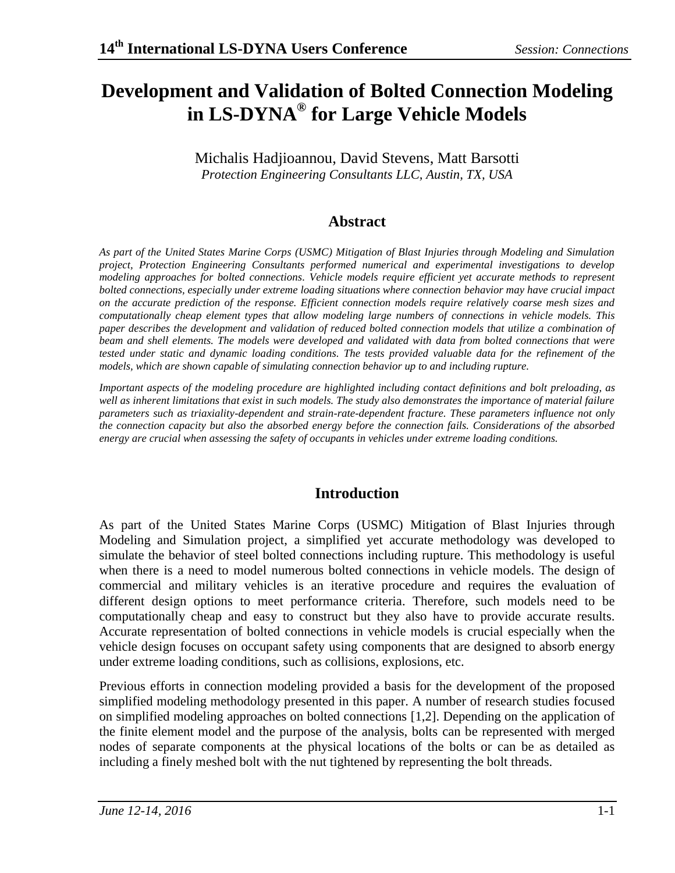# **Development and Validation of Bolted Connection Modeling in LS-DYNA® for Large Vehicle Models**

Michalis Hadjioannou, David Stevens, Matt Barsotti *Protection Engineering Consultants LLC, Austin, TX, USA*

### **Abstract**

*As part of the United States Marine Corps (USMC) Mitigation of Blast Injuries through Modeling and Simulation project, Protection Engineering Consultants performed numerical and experimental investigations to develop modeling approaches for bolted connections. Vehicle models require efficient yet accurate methods to represent bolted connections, especially under extreme loading situations where connection behavior may have crucial impact on the accurate prediction of the response. Efficient connection models require relatively coarse mesh sizes and computationally cheap element types that allow modeling large numbers of connections in vehicle models. This paper describes the development and validation of reduced bolted connection models that utilize a combination of beam and shell elements. The models were developed and validated with data from bolted connections that were tested under static and dynamic loading conditions. The tests provided valuable data for the refinement of the models, which are shown capable of simulating connection behavior up to and including rupture.*

*Important aspects of the modeling procedure are highlighted including contact definitions and bolt preloading, as*  well as inherent limitations that exist in such models. The study also demonstrates the importance of material failure *parameters such as triaxiality-dependent and strain-rate-dependent fracture. These parameters influence not only the connection capacity but also the absorbed energy before the connection fails. Considerations of the absorbed energy are crucial when assessing the safety of occupants in vehicles under extreme loading conditions.*

## **Introduction**

As part of the United States Marine Corps (USMC) Mitigation of Blast Injuries through Modeling and Simulation project, a simplified yet accurate methodology was developed to simulate the behavior of steel bolted connections including rupture. This methodology is useful when there is a need to model numerous bolted connections in vehicle models. The design of commercial and military vehicles is an iterative procedure and requires the evaluation of different design options to meet performance criteria. Therefore, such models need to be computationally cheap and easy to construct but they also have to provide accurate results. Accurate representation of bolted connections in vehicle models is crucial especially when the vehicle design focuses on occupant safety using components that are designed to absorb energy under extreme loading conditions, such as collisions, explosions, etc.

Previous efforts in connection modeling provided a basis for the development of the proposed simplified modeling methodology presented in this paper. A number of research studies focused on simplified modeling approaches on bolted connections [1,2]. Depending on the application of the finite element model and the purpose of the analysis, bolts can be represented with merged nodes of separate components at the physical locations of the bolts or can be as detailed as including a finely meshed bolt with the nut tightened by representing the bolt threads.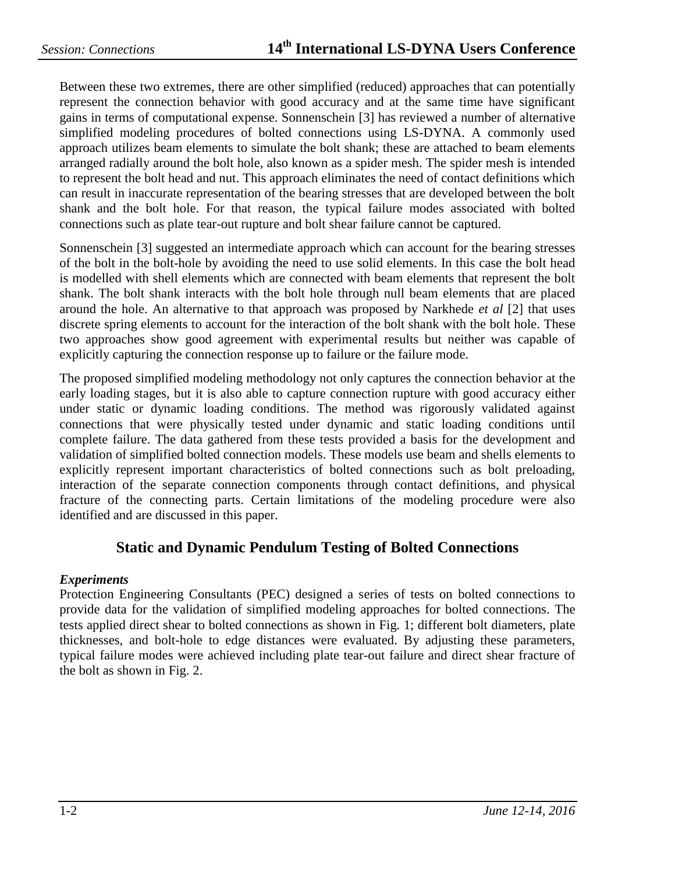Between these two extremes, there are other simplified (reduced) approaches that can potentially represent the connection behavior with good accuracy and at the same time have significant gains in terms of computational expense. Sonnenschein [3] has reviewed a number of alternative simplified modeling procedures of bolted connections using LS-DYNA. A commonly used approach utilizes beam elements to simulate the bolt shank; these are attached to beam elements arranged radially around the bolt hole, also known as a spider mesh. The spider mesh is intended to represent the bolt head and nut. This approach eliminates the need of contact definitions which can result in inaccurate representation of the bearing stresses that are developed between the bolt shank and the bolt hole. For that reason, the typical failure modes associated with bolted connections such as plate tear-out rupture and bolt shear failure cannot be captured.

Sonnenschein [3] suggested an intermediate approach which can account for the bearing stresses of the bolt in the bolt-hole by avoiding the need to use solid elements. In this case the bolt head is modelled with shell elements which are connected with beam elements that represent the bolt shank. The bolt shank interacts with the bolt hole through null beam elements that are placed around the hole. An alternative to that approach was proposed by Narkhede *et al* [2] that uses discrete spring elements to account for the interaction of the bolt shank with the bolt hole. These two approaches show good agreement with experimental results but neither was capable of explicitly capturing the connection response up to failure or the failure mode.

The proposed simplified modeling methodology not only captures the connection behavior at the early loading stages, but it is also able to capture connection rupture with good accuracy either under static or dynamic loading conditions. The method was rigorously validated against connections that were physically tested under dynamic and static loading conditions until complete failure. The data gathered from these tests provided a basis for the development and validation of simplified bolted connection models. These models use beam and shells elements to explicitly represent important characteristics of bolted connections such as bolt preloading, interaction of the separate connection components through contact definitions, and physical fracture of the connecting parts. Certain limitations of the modeling procedure were also identified and are discussed in this paper.

#### **Static and Dynamic Pendulum Testing of Bolted Connections**

#### *Experiments*

Protection Engineering Consultants (PEC) designed a series of tests on bolted connections to provide data for the validation of simplified modeling approaches for bolted connections. The tests applied direct shear to bolted connections as shown in [Fig. 1;](#page-2-0) different bolt diameters, plate thicknesses, and bolt-hole to edge distances were evaluated. By adjusting these parameters, typical failure modes were achieved including plate tear-out failure and direct shear fracture of the bolt as shown in [Fig. 2.](#page-2-1)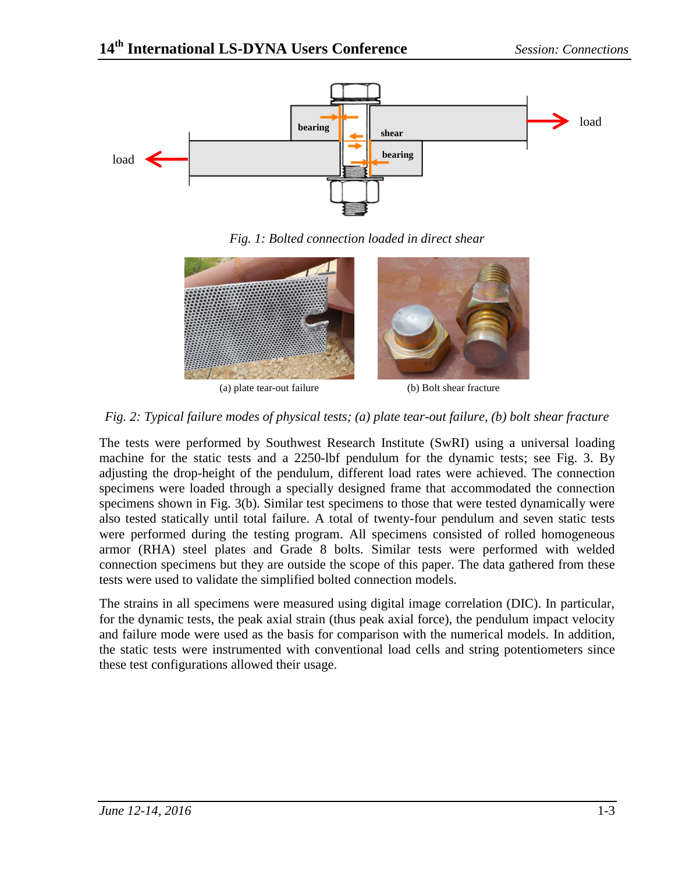

*Fig. 1: Bolted connection loaded in direct shear*

<span id="page-2-0"></span>

(a) plate tear-out failure (b) Bolt shear fracture

#### <span id="page-2-1"></span>*Fig. 2: Typical failure modes of physical tests; (a) plate tear-out failure, (b) bolt shear fracture*

The tests were performed by Southwest Research Institute (SwRI) using a universal loading machine for the static tests and a 2250-lbf pendulum for the dynamic tests; see [Fig. 3.](#page-3-0) By adjusting the drop-height of the pendulum, different load rates were achieved. The connection specimens were loaded through a specially designed frame that accommodated the connection specimens shown in [Fig. 3\(](#page-3-0)b). Similar test specimens to those that were tested dynamically were also tested statically until total failure. A total of twenty-four pendulum and seven static tests were performed during the testing program. All specimens consisted of rolled homogeneous armor (RHA) steel plates and Grade 8 bolts. Similar tests were performed with welded connection specimens but they are outside the scope of this paper. The data gathered from these tests were used to validate the simplified bolted connection models.

The strains in all specimens were measured using digital image correlation (DIC). In particular, for the dynamic tests, the peak axial strain (thus peak axial force), the pendulum impact velocity and failure mode were used as the basis for comparison with the numerical models. In addition, the static tests were instrumented with conventional load cells and string potentiometers since these test configurations allowed their usage.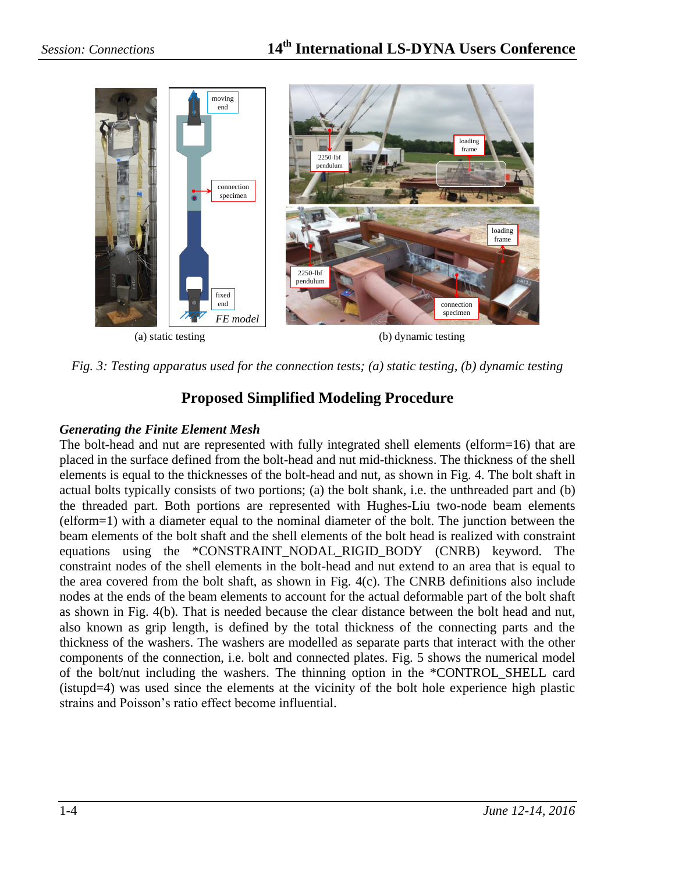

*Fig. 3: Testing apparatus used for the connection tests; (a) static testing, (b) dynamic testing*

## **Proposed Simplified Modeling Procedure**

### <span id="page-3-0"></span>*Generating the Finite Element Mesh*

The bolt-head and nut are represented with fully integrated shell elements (elform=16) that are placed in the surface defined from the bolt-head and nut mid-thickness. The thickness of the shell elements is equal to the thicknesses of the bolt-head and nut, as shown in [Fig. 4.](#page-4-0) The bolt shaft in actual bolts typically consists of two portions; (a) the bolt shank, i.e. the unthreaded part and (b) the threaded part. Both portions are represented with Hughes-Liu two-node beam elements (elform=1) with a diameter equal to the nominal diameter of the bolt. The junction between the beam elements of the bolt shaft and the shell elements of the bolt head is realized with constraint equations using the \*CONSTRAINT\_NODAL\_RIGID\_BODY (CNRB) keyword. The constraint nodes of the shell elements in the bolt-head and nut extend to an area that is equal to the area covered from the bolt shaft, as shown in [Fig. 4\(](#page-4-0)c). The CNRB definitions also include nodes at the ends of the beam elements to account for the actual deformable part of the bolt shaft as shown in [Fig. 4\(](#page-4-0)b). That is needed because the clear distance between the bolt head and nut, also known as grip length, is defined by the total thickness of the connecting parts and the thickness of the washers. The washers are modelled as separate parts that interact with the other components of the connection, i.e. bolt and connected plates. [Fig. 5](#page-4-1) shows the numerical model of the bolt/nut including the washers. The thinning option in the \*CONTROL\_SHELL card (istupd=4) was used since the elements at the vicinity of the bolt hole experience high plastic strains and Poisson's ratio effect become influential.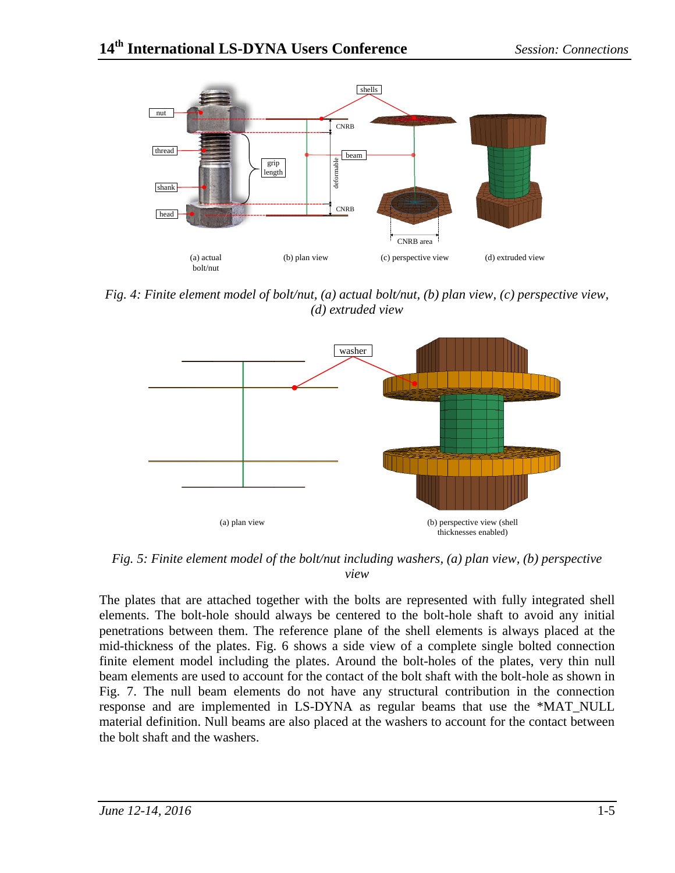

<span id="page-4-0"></span>*Fig. 4: Finite element model of bolt/nut, (a) actual bolt/nut, (b) plan view, (c) perspective view, (d) extruded view*



<span id="page-4-1"></span>*Fig. 5: Finite element model of the bolt/nut including washers, (a) plan view, (b) perspective view*

The plates that are attached together with the bolts are represented with fully integrated shell elements. The bolt-hole should always be centered to the bolt-hole shaft to avoid any initial penetrations between them. The reference plane of the shell elements is always placed at the mid-thickness of the plates. [Fig. 6](#page-5-0) shows a side view of a complete single bolted connection finite element model including the plates. Around the bolt-holes of the plates, very thin null beam elements are used to account for the contact of the bolt shaft with the bolt-hole as shown in [Fig. 7.](#page-5-1) The null beam elements do not have any structural contribution in the connection response and are implemented in LS-DYNA as regular beams that use the \*MAT\_NULL material definition. Null beams are also placed at the washers to account for the contact between the bolt shaft and the washers.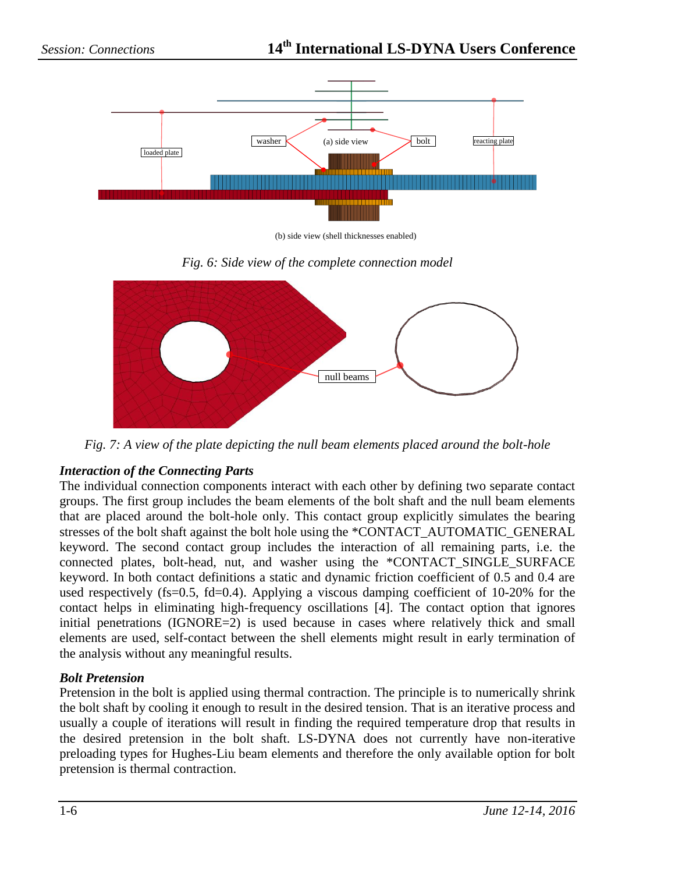

(b) side view (shell thicknesses enabled)



<span id="page-5-0"></span>

*Fig. 7: A view of the plate depicting the null beam elements placed around the bolt-hole*

#### <span id="page-5-1"></span>*Interaction of the Connecting Parts*

The individual connection components interact with each other by defining two separate contact groups. The first group includes the beam elements of the bolt shaft and the null beam elements that are placed around the bolt-hole only. This contact group explicitly simulates the bearing stresses of the bolt shaft against the bolt hole using the \*CONTACT\_AUTOMATIC\_GENERAL keyword. The second contact group includes the interaction of all remaining parts, i.e. the connected plates, bolt-head, nut, and washer using the \*CONTACT\_SINGLE\_SURFACE keyword. In both contact definitions a static and dynamic friction coefficient of 0.5 and 0.4 are used respectively (fs=0.5, fd=0.4). Applying a viscous damping coefficient of  $10\n-20\%$  for the contact helps in eliminating high-frequency oscillations [4]. The contact option that ignores initial penetrations (IGNORE=2) is used because in cases where relatively thick and small elements are used, self-contact between the shell elements might result in early termination of the analysis without any meaningful results.

#### *Bolt Pretension*

Pretension in the bolt is applied using thermal contraction. The principle is to numerically shrink the bolt shaft by cooling it enough to result in the desired tension. That is an iterative process and usually a couple of iterations will result in finding the required temperature drop that results in the desired pretension in the bolt shaft. LS-DYNA does not currently have non-iterative preloading types for Hughes-Liu beam elements and therefore the only available option for bolt pretension is thermal contraction.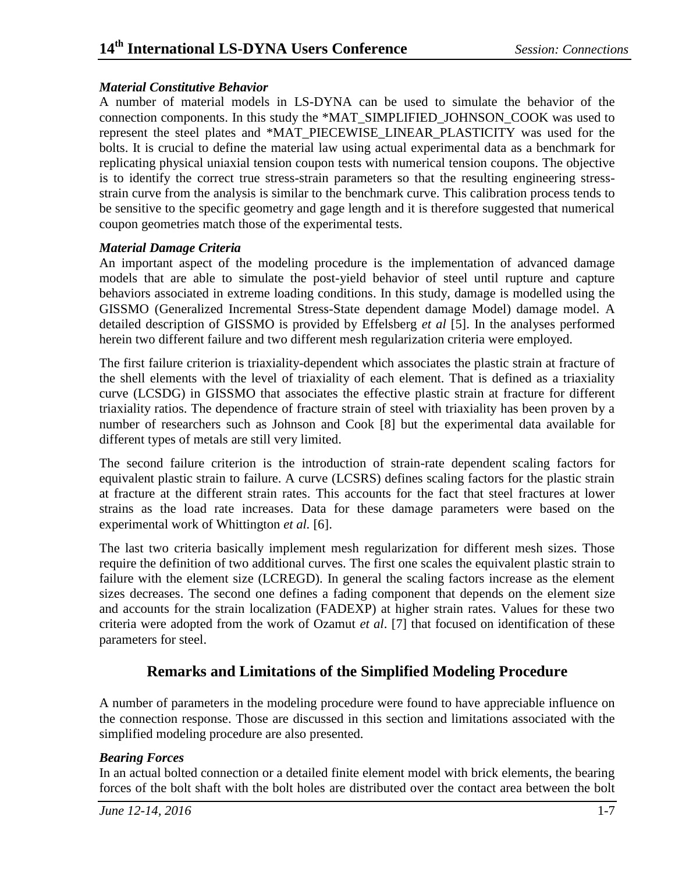#### *Material Constitutive Behavior*

A number of material models in LS-DYNA can be used to simulate the behavior of the connection components. In this study the \*MAT\_SIMPLIFIED\_JOHNSON\_COOK was used to represent the steel plates and \*MAT\_PIECEWISE\_LINEAR\_PLASTICITY was used for the bolts. It is crucial to define the material law using actual experimental data as a benchmark for replicating physical uniaxial tension coupon tests with numerical tension coupons. The objective is to identify the correct true stress-strain parameters so that the resulting engineering stressstrain curve from the analysis is similar to the benchmark curve. This calibration process tends to be sensitive to the specific geometry and gage length and it is therefore suggested that numerical coupon geometries match those of the experimental tests.

#### *Material Damage Criteria*

An important aspect of the modeling procedure is the implementation of advanced damage models that are able to simulate the post-yield behavior of steel until rupture and capture behaviors associated in extreme loading conditions. In this study, damage is modelled using the GISSMO (Generalized Incremental Stress-State dependent damage Model) damage model. A detailed description of GISSMO is provided by Effelsberg *et al* [5]. In the analyses performed herein two different failure and two different mesh regularization criteria were employed.

The first failure criterion is triaxiality-dependent which associates the plastic strain at fracture of the shell elements with the level of triaxiality of each element. That is defined as a triaxiality curve (LCSDG) in GISSMO that associates the effective plastic strain at fracture for different triaxiality ratios. The dependence of fracture strain of steel with triaxiality has been proven by a number of researchers such as Johnson and Cook [8] but the experimental data available for different types of metals are still very limited.

The second failure criterion is the introduction of strain-rate dependent scaling factors for equivalent plastic strain to failure. A curve (LCSRS) defines scaling factors for the plastic strain at fracture at the different strain rates. This accounts for the fact that steel fractures at lower strains as the load rate increases. Data for these damage parameters were based on the experimental work of Whittington *et al.* [6].

The last two criteria basically implement mesh regularization for different mesh sizes. Those require the definition of two additional curves. The first one scales the equivalent plastic strain to failure with the element size (LCREGD). In general the scaling factors increase as the element sizes decreases. The second one defines a fading component that depends on the element size and accounts for the strain localization (FADEXP) at higher strain rates. Values for these two criteria were adopted from the work of Ozamut *et al*. [7] that focused on identification of these parameters for steel.

### **Remarks and Limitations of the Simplified Modeling Procedure**

A number of parameters in the modeling procedure were found to have appreciable influence on the connection response. Those are discussed in this section and limitations associated with the simplified modeling procedure are also presented.

#### *Bearing Forces*

In an actual bolted connection or a detailed finite element model with brick elements, the bearing forces of the bolt shaft with the bolt holes are distributed over the contact area between the bolt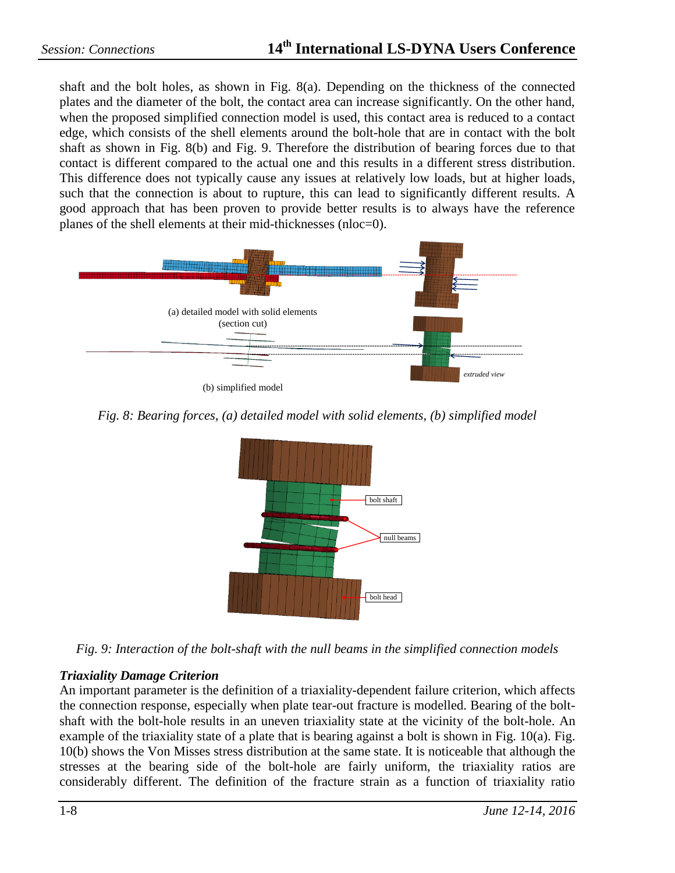shaft and the bolt holes, as shown in Fig.  $8(a)$ . Depending on the thickness of the connected plates and the diameter of the bolt, the contact area can increase significantly. On the other hand, when the proposed simplified connection model is used, this contact area is reduced to a contact edge, which consists of the shell elements around the bolt-hole that are in contact with the bolt shaft as shown in [Fig. 8\(](#page-7-0)b) and [Fig. 9.](#page-7-1) Therefore the distribution of bearing forces due to that contact is different compared to the actual one and this results in a different stress distribution. This difference does not typically cause any issues at relatively low loads, but at higher loads, such that the connection is about to rupture, this can lead to significantly different results. A good approach that has been proven to provide better results is to always have the reference planes of the shell elements at their mid-thicknesses (nloc=0).



<span id="page-7-0"></span>*Fig. 8: Bearing forces, (a) detailed model with solid elements, (b) simplified model*



<span id="page-7-1"></span>*Fig. 9: Interaction of the bolt-shaft with the null beams in the simplified connection models*

#### *Triaxiality Damage Criterion*

An important parameter is the definition of a triaxiality-dependent failure criterion, which affects the connection response, especially when plate tear-out fracture is modelled. Bearing of the boltshaft with the bolt-hole results in an uneven triaxiality state at the vicinity of the bolt-hole. An example of the triaxiality state of a plate that is bearing against a bolt is shown in [Fig.](#page-8-0)  $10(a)$ . Fig. [10\(](#page-8-0)b) shows the Von Misses stress distribution at the same state. It is noticeable that although the stresses at the bearing side of the bolt-hole are fairly uniform, the triaxiality ratios are considerably different. The definition of the fracture strain as a function of triaxiality ratio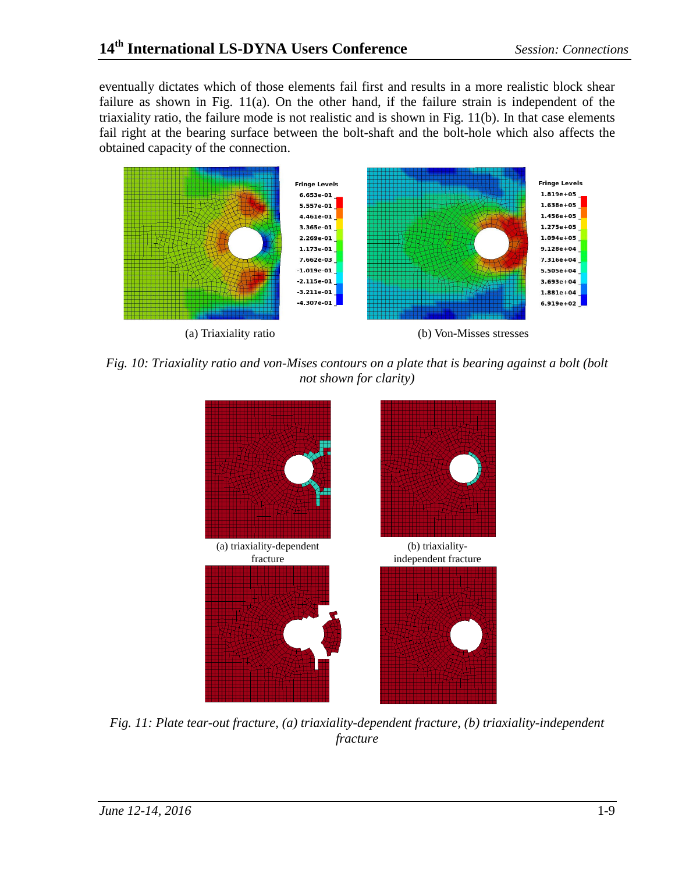eventually dictates which of those elements fail first and results in a more realistic block shear failure as shown in [Fig. 11\(](#page-8-1)a). On the other hand, if the failure strain is independent of the triaxiality ratio, the failure mode is not realistic and is shown in [Fig. 11\(](#page-8-1)b). In that case elements fail right at the bearing surface between the bolt-shaft and the bolt-hole which also affects the obtained capacity of the connection.



<span id="page-8-0"></span>*Fig. 10: Triaxiality ratio and von-Mises contours on a plate that is bearing against a bolt (bolt not shown for clarity)*



<span id="page-8-1"></span>*Fig. 11: Plate tear-out fracture, (a) triaxiality-dependent fracture, (b) triaxiality-independent fracture*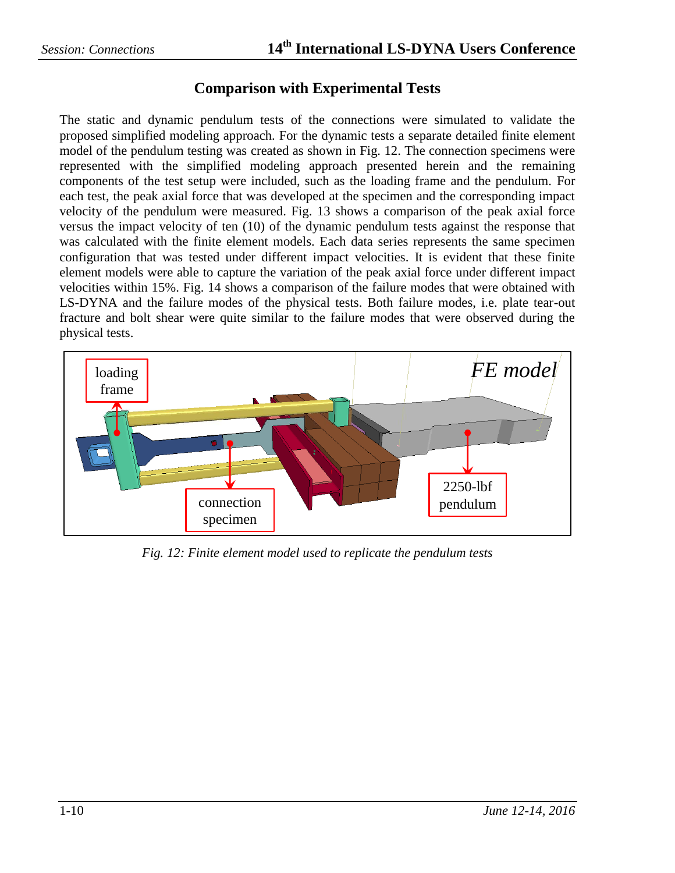#### **Comparison with Experimental Tests**

The static and dynamic pendulum tests of the connections were simulated to validate the proposed simplified modeling approach. For the dynamic tests a separate detailed finite element model of the pendulum testing was created as shown in [Fig. 12.](#page-9-0) The connection specimens were represented with the simplified modeling approach presented herein and the remaining components of the test setup were included, such as the loading frame and the pendulum. For each test, the peak axial force that was developed at the specimen and the corresponding impact velocity of the pendulum were measured. [Fig. 13](#page-10-0) shows a comparison of the peak axial force versus the impact velocity of ten (10) of the dynamic pendulum tests against the response that was calculated with the finite element models. Each data series represents the same specimen configuration that was tested under different impact velocities. It is evident that these finite element models were able to capture the variation of the peak axial force under different impact velocities within 15%. [Fig. 14](#page-10-1) shows a comparison of the failure modes that were obtained with LS-DYNA and the failure modes of the physical tests. Both failure modes, i.e. plate tear-out fracture and bolt shear were quite similar to the failure modes that were observed during the physical tests.



<span id="page-9-0"></span>*Fig. 12: Finite element model used to replicate the pendulum tests*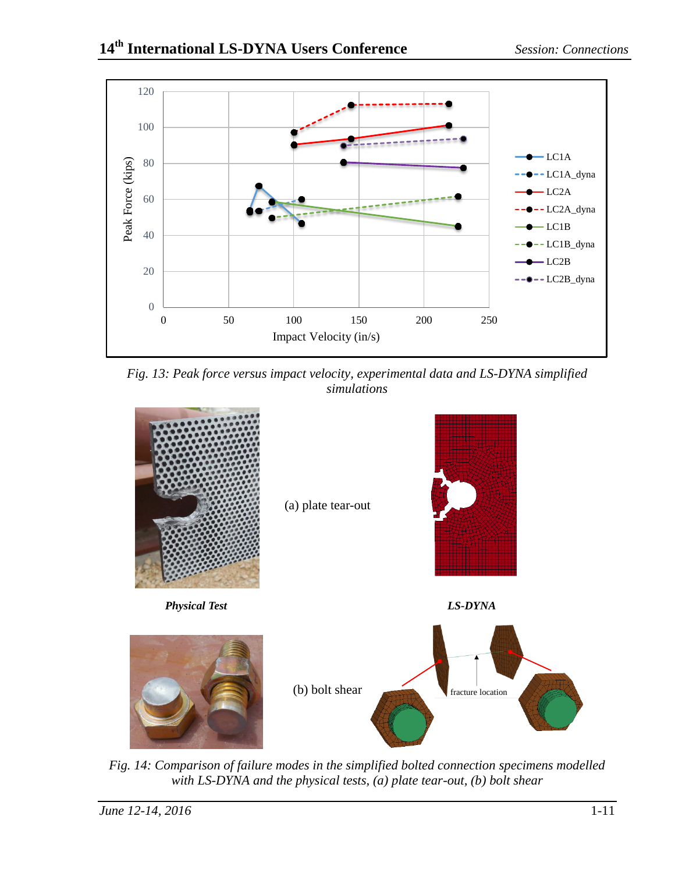

<span id="page-10-0"></span>*Fig. 13: Peak force versus impact velocity, experimental data and LS-DYNA simplified simulations*



<span id="page-10-1"></span>*Fig. 14: Comparison of failure modes in the simplified bolted connection specimens modelled with LS-DYNA and the physical tests, (a) plate tear-out, (b) bolt shear*